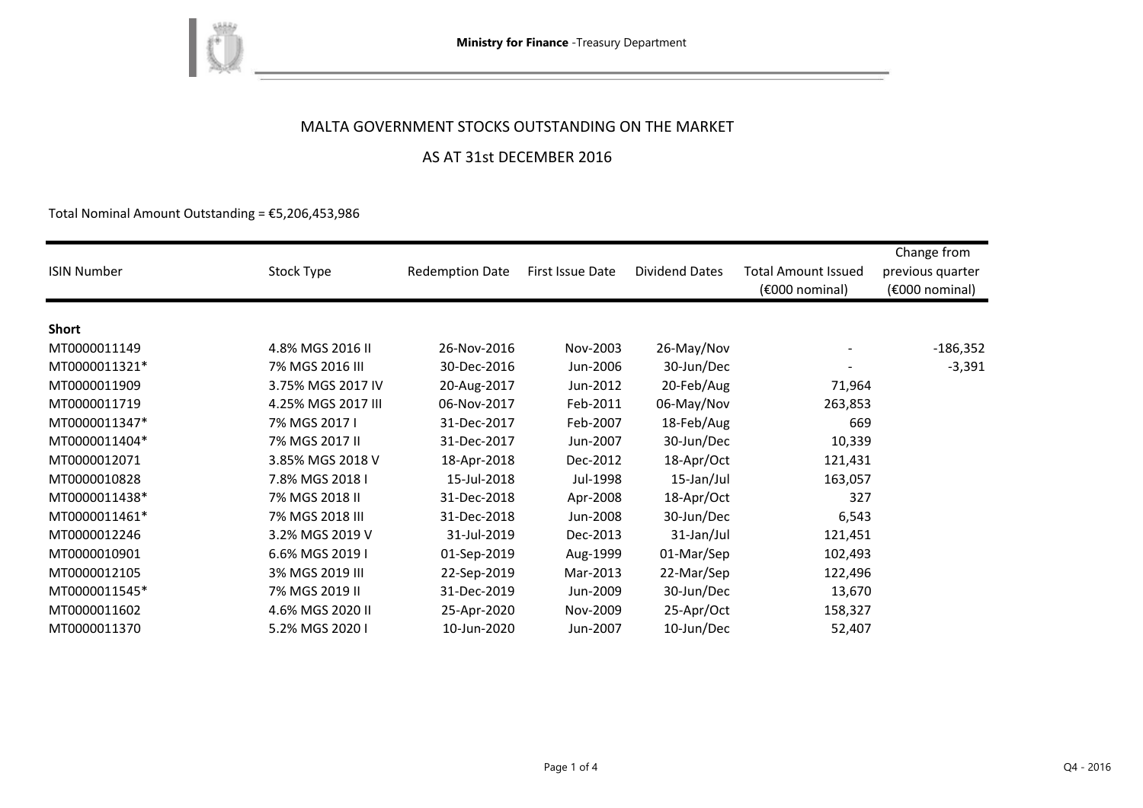

### MALTA GOVERNMENT STOCKS OUTSTANDING ON THE MARKET

and the control of the control of

### AS AT 31st DECEMBER 2016

Total Nominal Amount Outstanding =  $E$ 5,206,453,986

| <b>ISIN Number</b> | Stock Type         | <b>Redemption Date</b> | First Issue Date | Dividend Dates | <b>Total Amount Issued</b><br>(€000 nominal) | Change from<br>previous quarter<br>$(6000)$ nominal) |
|--------------------|--------------------|------------------------|------------------|----------------|----------------------------------------------|------------------------------------------------------|
|                    |                    |                        |                  |                |                                              |                                                      |
| <b>Short</b>       |                    |                        |                  |                |                                              |                                                      |
| MT0000011149       | 4.8% MGS 2016 II   | 26-Nov-2016            | Nov-2003         | 26-May/Nov     |                                              | $-186,352$                                           |
| MT0000011321*      | 7% MGS 2016 III    | 30-Dec-2016            | Jun-2006         | 30-Jun/Dec     |                                              | $-3,391$                                             |
| MT0000011909       | 3.75% MGS 2017 IV  | 20-Aug-2017            | Jun-2012         | 20-Feb/Aug     | 71,964                                       |                                                      |
| MT0000011719       | 4.25% MGS 2017 III | 06-Nov-2017            | Feb-2011         | 06-May/Nov     | 263,853                                      |                                                      |
| MT0000011347*      | 7% MGS 2017 I      | 31-Dec-2017            | Feb-2007         | 18-Feb/Aug     | 669                                          |                                                      |
| MT0000011404*      | 7% MGS 2017 II     | 31-Dec-2017            | Jun-2007         | 30-Jun/Dec     | 10,339                                       |                                                      |
| MT0000012071       | 3.85% MGS 2018 V   | 18-Apr-2018            | Dec-2012         | 18-Apr/Oct     | 121,431                                      |                                                      |
| MT0000010828       | 7.8% MGS 2018 I    | 15-Jul-2018            | Jul-1998         | 15-Jan/Jul     | 163,057                                      |                                                      |
| MT0000011438*      | 7% MGS 2018 II     | 31-Dec-2018            | Apr-2008         | 18-Apr/Oct     | 327                                          |                                                      |
| MT0000011461*      | 7% MGS 2018 III    | 31-Dec-2018            | Jun-2008         | 30-Jun/Dec     | 6,543                                        |                                                      |
| MT0000012246       | 3.2% MGS 2019 V    | 31-Jul-2019            | Dec-2013         | 31-Jan/Jul     | 121,451                                      |                                                      |
| MT0000010901       | 6.6% MGS 2019 I    | 01-Sep-2019            | Aug-1999         | 01-Mar/Sep     | 102,493                                      |                                                      |
| MT0000012105       | 3% MGS 2019 III    | 22-Sep-2019            | Mar-2013         | 22-Mar/Sep     | 122,496                                      |                                                      |
| MT0000011545*      | 7% MGS 2019 II     | 31-Dec-2019            | Jun-2009         | 30-Jun/Dec     | 13,670                                       |                                                      |
| MT0000011602       | 4.6% MGS 2020 II   | 25-Apr-2020            | Nov-2009         | 25-Apr/Oct     | 158,327                                      |                                                      |
| MT0000011370       | 5.2% MGS 2020 I    | 10-Jun-2020            | Jun-2007         | 10-Jun/Dec     | 52,407                                       |                                                      |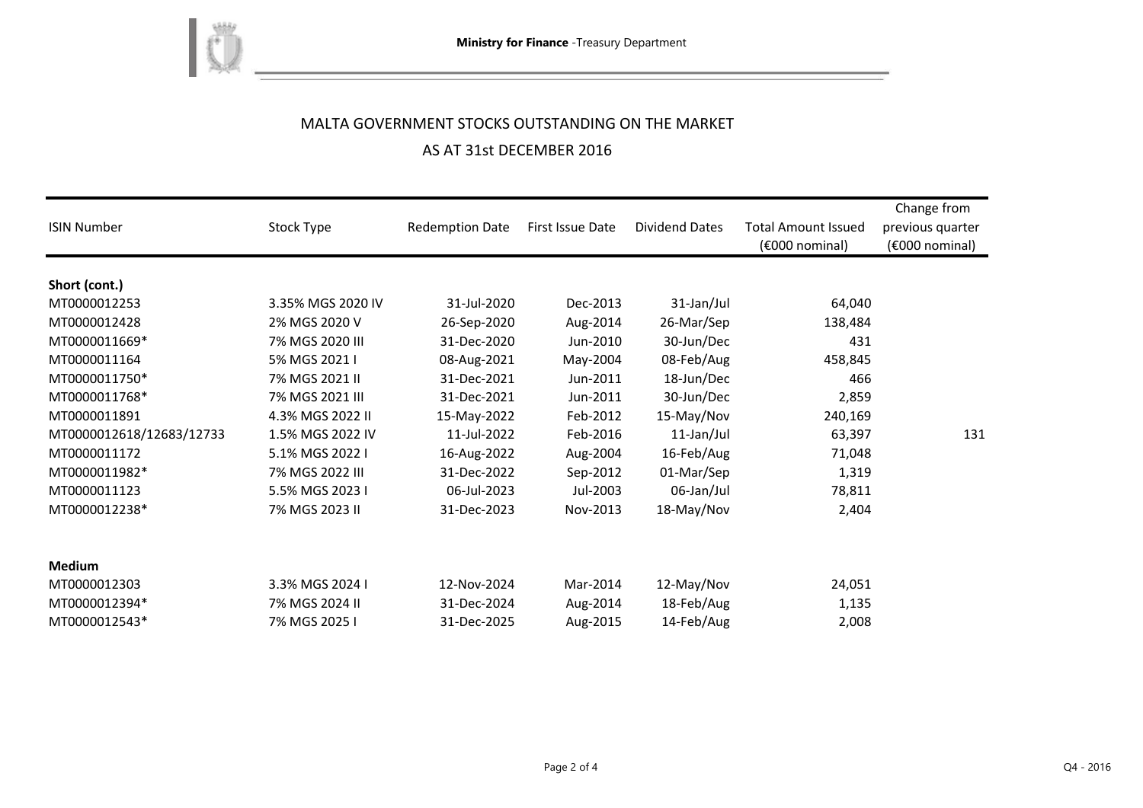

# MALTA GOVERNMENT STOCKS OUTSTANDING ON THE MARKET AS AT 31st DECEMBER 2016

<u> 1980 - Johann Barbara, martxa a</u>

| <b>ISIN Number</b>       | Stock Type        | <b>Redemption Date</b> | First Issue Date | <b>Dividend Dates</b> | <b>Total Amount Issued</b><br>(€000 nominal) | Change from<br>previous quarter<br>(€000 nominal) |
|--------------------------|-------------------|------------------------|------------------|-----------------------|----------------------------------------------|---------------------------------------------------|
| Short (cont.)            |                   |                        |                  |                       |                                              |                                                   |
| MT0000012253             | 3.35% MGS 2020 IV | 31-Jul-2020            | Dec-2013         | 31-Jan/Jul            | 64,040                                       |                                                   |
| MT0000012428             | 2% MGS 2020 V     | 26-Sep-2020            | Aug-2014         | 26-Mar/Sep            | 138,484                                      |                                                   |
| MT0000011669*            | 7% MGS 2020 III   | 31-Dec-2020            | Jun-2010         | 30-Jun/Dec            | 431                                          |                                                   |
| MT0000011164             | 5% MGS 2021 I     | 08-Aug-2021            | May-2004         | 08-Feb/Aug            | 458,845                                      |                                                   |
| MT0000011750*            | 7% MGS 2021 II    | 31-Dec-2021            | Jun-2011         | 18-Jun/Dec            | 466                                          |                                                   |
| MT0000011768*            | 7% MGS 2021 III   | 31-Dec-2021            | Jun-2011         | 30-Jun/Dec            | 2,859                                        |                                                   |
| MT0000011891             | 4.3% MGS 2022 II  | 15-May-2022            | Feb-2012         | 15-May/Nov            | 240,169                                      |                                                   |
| MT0000012618/12683/12733 | 1.5% MGS 2022 IV  | 11-Jul-2022            | Feb-2016         | 11-Jan/Jul            | 63,397                                       | 131                                               |
| MT0000011172             | 5.1% MGS 2022 I   | 16-Aug-2022            | Aug-2004         | 16-Feb/Aug            | 71,048                                       |                                                   |
| MT0000011982*            | 7% MGS 2022 III   | 31-Dec-2022            | Sep-2012         | 01-Mar/Sep            | 1,319                                        |                                                   |
| MT0000011123             | 5.5% MGS 2023 I   | 06-Jul-2023            | Jul-2003         | 06-Jan/Jul            | 78,811                                       |                                                   |
| MT0000012238*            | 7% MGS 2023 II    | 31-Dec-2023            | Nov-2013         | 18-May/Nov            | 2,404                                        |                                                   |
| <b>Medium</b>            |                   |                        |                  |                       |                                              |                                                   |
| MT0000012303             | 3.3% MGS 2024 I   | 12-Nov-2024            | Mar-2014         | 12-May/Nov            | 24,051                                       |                                                   |
| MT0000012394*            | 7% MGS 2024 II    | 31-Dec-2024            | Aug-2014         | 18-Feb/Aug            | 1,135                                        |                                                   |
| MT0000012543*            | 7% MGS 2025 I     | 31-Dec-2025            | Aug-2015         | 14-Feb/Aug            | 2,008                                        |                                                   |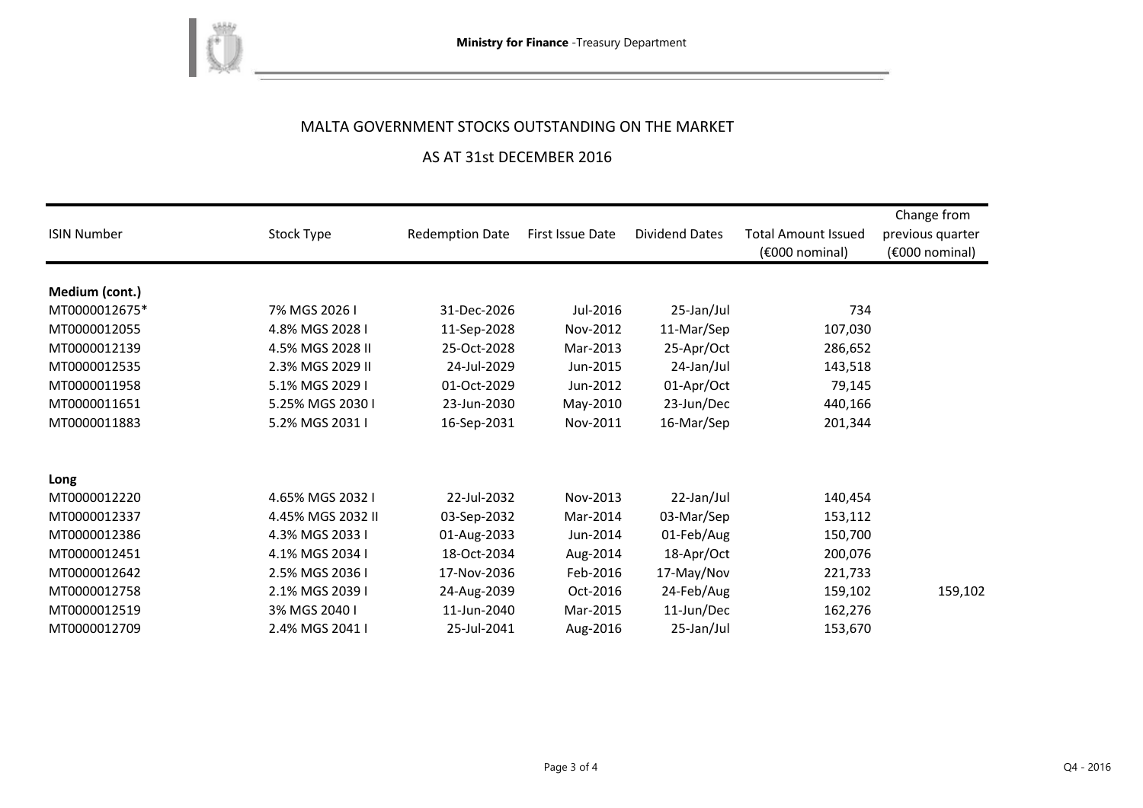

## MALTA GOVERNMENT STOCKS OUTSTANDING ON THE MARKET

### AS AT 31st DECEMBER 2016

| <b>ISIN Number</b> | Stock Type        | <b>Redemption Date</b> | First Issue Date | Dividend Dates | <b>Total Amount Issued</b><br>(€000 nominal) | Change from<br>previous quarter<br>(€000 nominal) |
|--------------------|-------------------|------------------------|------------------|----------------|----------------------------------------------|---------------------------------------------------|
| Medium (cont.)     |                   |                        |                  |                |                                              |                                                   |
| MT0000012675*      | 7% MGS 2026 I     | 31-Dec-2026            | Jul-2016         | 25-Jan/Jul     | 734                                          |                                                   |
| MT0000012055       | 4.8% MGS 2028 I   | 11-Sep-2028            | Nov-2012         | 11-Mar/Sep     | 107,030                                      |                                                   |
| MT0000012139       | 4.5% MGS 2028 II  | 25-Oct-2028            | Mar-2013         | 25-Apr/Oct     | 286,652                                      |                                                   |
| MT0000012535       | 2.3% MGS 2029 II  | 24-Jul-2029            | Jun-2015         | 24-Jan/Jul     | 143,518                                      |                                                   |
| MT0000011958       | 5.1% MGS 2029 I   | 01-Oct-2029            | Jun-2012         | 01-Apr/Oct     | 79,145                                       |                                                   |
| MT0000011651       | 5.25% MGS 2030 I  | 23-Jun-2030            | May-2010         | 23-Jun/Dec     | 440,166                                      |                                                   |
| MT0000011883       | 5.2% MGS 2031 I   | 16-Sep-2031            | Nov-2011         | 16-Mar/Sep     | 201,344                                      |                                                   |
| Long               |                   |                        |                  |                |                                              |                                                   |
| MT0000012220       | 4.65% MGS 2032 I  | 22-Jul-2032            | Nov-2013         | 22-Jan/Jul     | 140,454                                      |                                                   |
| MT0000012337       | 4.45% MGS 2032 II | 03-Sep-2032            | Mar-2014         | 03-Mar/Sep     | 153,112                                      |                                                   |
| MT0000012386       | 4.3% MGS 2033 I   | 01-Aug-2033            | Jun-2014         | 01-Feb/Aug     | 150,700                                      |                                                   |
| MT0000012451       | 4.1% MGS 2034 I   | 18-Oct-2034            | Aug-2014         | 18-Apr/Oct     | 200,076                                      |                                                   |
| MT0000012642       | 2.5% MGS 2036 I   | 17-Nov-2036            | Feb-2016         | 17-May/Nov     | 221,733                                      |                                                   |
| MT0000012758       | 2.1% MGS 2039 I   | 24-Aug-2039            | Oct-2016         | 24-Feb/Aug     | 159,102                                      | 159,102                                           |
| MT0000012519       | 3% MGS 2040 I     | 11-Jun-2040            | Mar-2015         | 11-Jun/Dec     | 162,276                                      |                                                   |
| MT0000012709       | 2.4% MGS 2041 I   | 25-Jul-2041            | Aug-2016         | 25-Jan/Jul     | 153,670                                      |                                                   |